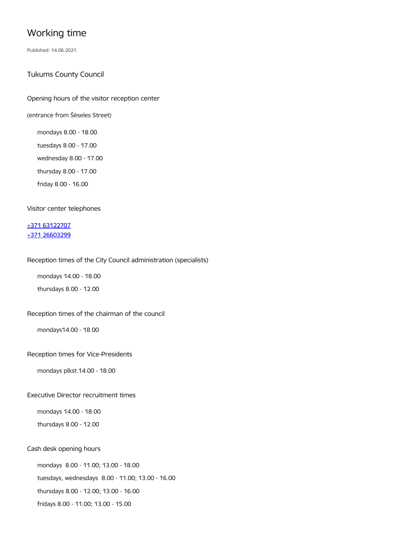# Working time

Published: 14.06.2021.

# Tukums County Council

Opening hours of the visitor reception center

(entrance from Šēseles Street)

mondays 8.00 - 18.00

tuesdays 8.00 - 17.00

wednesday 8.00 - 17.00

thursday 8.00 - 17.00

friday 8.00 - 16.00

#### Visitor center telephones

## +371 [63122707](tel:+371%2063122707) +371 [26603299](tel:+371%2026603299)

Reception times of the City Council administration (specialists)

mondays 14.00 - 18.00 thursdays 8.00 - 12.00

Reception times of the chairman of the council

mondays14.00 - 18.00

Reception times for Vice-Presidents

mondays plkst.14.00 - 18.00

Executive Director recruitment times

mondays 14.00 - 18.00

thursdays 8.00 - 12.00

Cash desk opening hours

mondays 8.00 - 11.00; 13.00 - 18.00 tuesdays, wednesdays 8.00 - 11.00; 13.00 - 16.00 thursdays 8.00 - 12.00; 13.00 - 16.00 fridays 8.00 - 11.00; 13.00 - 15.00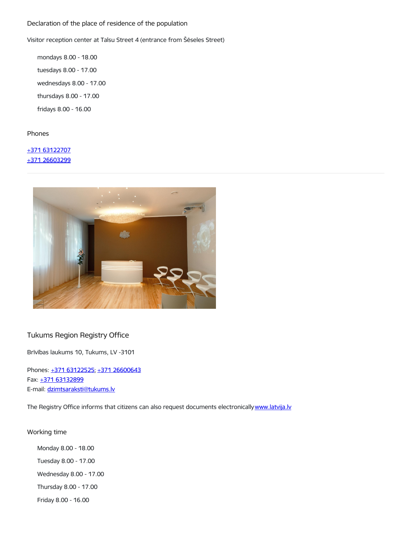Declaration of the place of residence of the population

Visitor reception center at Talsu Street 4 (entrance from Šēseles Street)

mondays 8.00 - 18.00 tuesdays 8.00 - 17.00 wednesdays 8.00 - 17.00 thursdays 8.00 - 17.00 fridays 8.00 - 16.00

### Phones

+371 [63122707](tel:+371%2063122707) +371 [26603299](tel:+371%2026603299)



# Tukums Region Registry Office

Brīvības laukums 10, Tukums, LV -3101

Phones: +371 [63122525](tel:+371%2063122525); +371 [26600643](tel:+371%2026600643) Fax: +371 [63132899](tel:+371%2063132899) E-mail: [dzimtsaraksti@tukums.lv](mailto:dzimtsaraksti@tukums.lv)

The Registry Office informs that citizens can also request documents electronically www.latvija.ly

Working time

Monday 8.00 - 18.00 Tuesday 8.00 - 17.00 Wednesday 8.00 - 17.00 Thursday 8.00 - 17.00 Friday 8.00 - 16.00